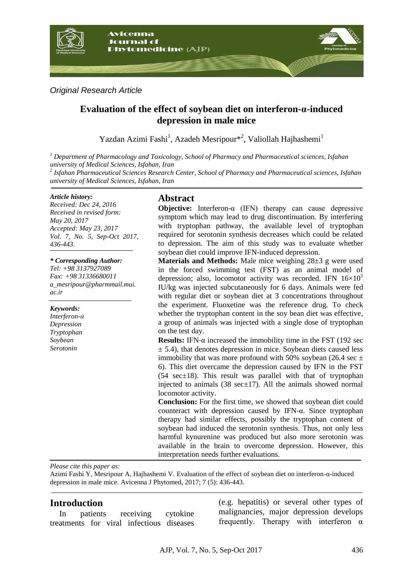

# *Original Research Article*

# **Evaluation of the effect of soybean diet on interferon-α-induced depression in male mice**

Yazdan Azimi Fashi<sup>1</sup>, Azadeh Mesripour<sup>\*2</sup>, Valiollah Hajhashemi<sup>1</sup>

*<sup>1</sup> Department of Pharmacology and Toxicology, School of Pharmacy and Pharmaceutical sciences, Isfahan university of Medical Sciences, Isfahan, Iran*

*2 Isfahan Pharmaceutical Sciences Research Center, School of Pharmacy and Pharmaceutical sciences, Isfahan university of Medical Sciences, Isfahan, Iran*

#### *Article history:*

*Received: Dec 24, 2016 Received in revised form: May 20, 2017 Accepted: May 23, 2017 Vol. 7, No. 5, Sep-Oct 2017, 436-443.*

#### *\* Corresponding Author:*

*Tel: +98 3137927089 Fax: +98 31336680011 a\_mesripour@pharmmail.mui. ac.ir*

*Keywords: Interferon-α Depression Tryptophan*

*Soybean Serotonin*

# **Abstract**

**Objective:** Interferon-α (IFN) therapy can cause depressive symptom which may lead to drug discontinuation. By interfering with tryptophan pathway, the available level of tryptophan required for serotonin synthesis decreases which could be related to depression. The aim of this study was to evaluate whether soybean diet could improve IFN-induced depression.

**Materials and Methods:** Male mice weighing 28±3 g were used in the forced swimming test (FST) as an animal model of depression; also, locomotor activity was recorded. IFN  $16\times10^{5}$ IU/kg was injected subcutaneously for 6 days. Animals were fed with regular diet or soybean diet at 3 concentrations throughout the experiment. Fluoxetine was the reference drug. To check whether the tryptophan content in the soy bean diet was effective, a group of animals was injected with a single dose of tryptophan on the test day.

**Results:** IFN-α increased the immobility time in the FST (192 sec  $\pm$  5.4), that denotes depression in mice. Soybean diets caused less immobility that was more profound with 50% soybean (26.4 sec  $\pm$ 6). This diet overcame the depression caused by IFN in the FST (54 sec±18). This result was parallel with that of tryptophan injected to animals  $(38 \text{ sec} \pm 17)$ . All the animals showed normal locomotor activity.

**Conclusion:** For the first time, we showed that soybean diet could counteract with depression caused by IFN-α. Since tryptophan therapy had similar effects, possibly the tryptophan content of soybean had induced the serotonin synthesis. Thus, not only less harmful kynurenine was produced but also more serotonin was available in the brain to overcome depression. However, this interpretation needs further evaluations.

*Please cite this paper as:* 

Azimi Fashi Y, Mesripour A, Hajhashemi V. Evaluation of the effect of soybean diet on interferon-α-induced depression in male mice. Avicenna J Phytomed, 2017; 7 (5): 436-443.

# **Introduction**

In patients receiving cytokine treatments for viral infectious diseases

(e.g. hepatitis) or several other types of malignancies, major depression develops frequently. Therapy with interferon  $\alpha$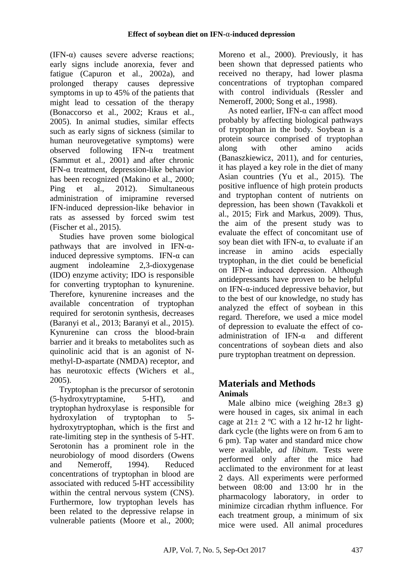(IFN- $\alpha$ ) causes severe adverse reactions; early signs include anorexia, fever and fatigue (Capuron et al., 2002a), and prolonged therapy causes depressive symptoms in up to 45% of the patients that might lead to cessation of the therapy (Bonaccorso et al., 2002; Kraus et al., 2005). In animal studies, similar effects such as early signs of sickness (similar to human neurovegetative symptoms) were observed following IFN-α treatment (Sammut et al., 2001) and after chronic IFN-α treatment, depression-like behavior has been recognized (Makino et al., 2000; Ping et al., 2012). Simultaneous administration of imipramine reversed IFN-induced depression-like behavior in rats as assessed by forced swim test (Fischer et al., 2015).

Studies have proven some biological pathways that are involved in IFN- $\alpha$ induced depressive symptoms. IFN- $\alpha$  can augment indoleamine 2,3-dioxygenase (IDO) enzyme activity; IDO is responsible for converting tryptophan to kynurenine. Therefore, kynurenine increases and the available concentration of tryptophan required for serotonin synthesis, decreases (Baranyi et al., 2013; Baranyi et al., 2015). Kynurenine can cross the blood-brain barrier and it breaks to metabolites such as quinolinic acid that is an agonist of Nmethyl-D-aspartate (NMDA) receptor, and has neurotoxic effects (Wichers et al., 2005).

Tryptophan is the precursor of serotonin (5-hydroxytryptamine, 5-HT), and tryptophan hydroxylase is responsible for hydroxylation of tryptophan to 5 hydroxytryptophan, which is the first and rate-limiting step in the synthesis of 5-HT. Serotonin has a prominent role in the neurobiology of mood disorders (Owens and Nemeroff, 1994). Reduced concentrations of tryptophan in blood are associated with reduced 5-HT accessibility within the central nervous system (CNS). Furthermore, low tryptophan levels has been related to the depressive relapse in vulnerable patients (Moore et al., 2000;

Moreno et al., 2000). Previously, it has been shown that depressed patients who received no therapy, had lower plasma concentrations of tryptophan compared with control individuals (Ressler and Nemeroff, 2000; Song et al., 1998).

As noted earlier. IFN- $\alpha$  can affect mood probably by affecting biological pathways of tryptophan in the body. Soybean is a protein source comprised of tryptophan along with other amino acids (Banaszkiewicz, 2011), and for centuries, it has played a key role in the diet of many Asian countries (Yu et al., 2015). The positive influence of high protein products and tryptophan content of nutrients on depression, has been shown (Tavakkoli et al., 2015; Firk and Markus, 2009). Thus, the aim of the present study was to evaluate the effect of concomitant use of soy bean diet with IFN- $\alpha$ , to evaluate if an increase in amino acids especially tryptophan, in the diet could be beneficial on IFN- $\alpha$  induced depression. Although antidepressants have proven to be helpful on IFN-α-induced depressive behavior, but to the best of our knowledge, no study has analyzed the effect of soybean in this regard. Therefore, we used a mice model of depression to evaluate the effect of coadministration of IFN-α and different concentrations of soybean diets and also pure tryptophan treatment on depression.

# **Materials and Methods Animals**

Male albino mice (weighing  $28\pm3$  g) were housed in cages, six animal in each cage at  $21 \pm 2$  °C with a 12 hr-12 hr lightdark cycle (the lights were on from 6 am to 6 pm). Tap water and standard mice chow were available, *ad libitum*. Tests were performed only after the mice had acclimated to the environment for at least 2 days. All experiments were performed between 08:00 and 13:00 hr in the pharmacology laboratory, in order to minimize circadian rhythm influence. For each treatment group, a minimum of six mice were used. All animal procedures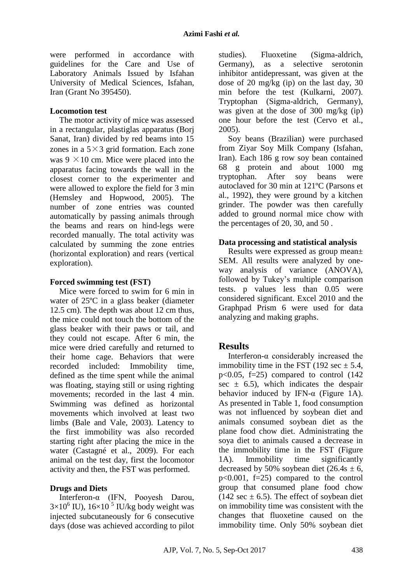were performed in accordance with guidelines for the Care and Use of Laboratory Animals Issued by Isfahan University of Medical Sciences, Isfahan, Iran (Grant No 395450).

## **Locomotion test**

The motor activity of mice was assessed in a rectangular, plastiglas apparatus (Borj Sanat, Iran) divided by red beams into 15 zones in a  $5 \times 3$  grid formation. Each zone was  $9 \times 10$  cm. Mice were placed into the apparatus facing towards the wall in the closest corner to the experimenter and were allowed to explore the field for 3 min (Hemsley and Hopwood, 2005). The number of zone entries was counted automatically by passing animals through the beams and rears on hind-legs were recorded manually. The total activity was calculated by summing the zone entries (horizontal exploration) and rears (vertical exploration).

### **Forced swimming test (FST)**

Mice were forced to swim for 6 min in water of 25ºC in a glass beaker (diameter 12.5 cm). The depth was about 12 cm thus, the mice could not touch the bottom of the glass beaker with their paws or tail, and they could not escape. After 6 min, the mice were dried carefully and returned to their home cage. Behaviors that were recorded included: Immobility time, defined as the time spent while the animal was floating, staying still or using righting movements; recorded in the last 4 min. Swimming was defined as horizontal movements which involved at least two limbs (Bale and Vale, 2003). Latency to the first immobility was also recorded starting right after placing the mice in the water (Castagné et al., 2009). For each animal on the test day, first the locomotor activity and then, the FST was performed.

# **Drugs and Diets**

Interferon-α (IFN, Pooyesh Darou,  $3\times10^6$  IU),  $16\times10^5$  IU/kg body weight was injected subcutaneously for 6 consecutive days (dose was achieved according to pilot studies). Fluoxetine (Sigma-aldrich, Germany), as a selective serotonin inhibitor antidepressant, was given at the dose of 20 mg/kg (ip) on the last day, 30 min before the test (Kulkarni, 2007). Tryptophan (Sigma-aldrich, Germany), was given at the dose of 300 mg/kg (ip) one hour before the test (Cervo et al., 2005).

Soy beans (Brazilian) were purchased from Ziyar Soy Milk Company (Isfahan, Iran). Each 186 g row soy bean contained 68 g protein and about 1000 mg tryptophan. After soy beans were autoclaved for 30 min at 121ºC (Parsons et al., 1992), they were ground by a kitchen grinder. The powder was then carefully added to ground normal mice chow with the percentages of 20, 30, and 50 .

# **Data processing and statistical analysis**

Results were expressed as group mean± SEM. All results were analyzed by oneway analysis of variance (ANOVA), followed by Tukey's multiple comparison tests. p values less than 0.05 were considered significant. Excel 2010 and the Graphpad Prism 6 were used for data analyzing and making graphs.

# **Results**

Interferon-α considerably increased the immobility time in the FST (192 sec  $\pm$  5.4,  $p<0.05$ ,  $f=25$ ) compared to control (142) sec  $\pm$  6.5), which indicates the despair behavior induced by IFN- $\alpha$  (Figure 1A). As presented in Table 1, food consumption was not influenced by soybean diet and animals consumed soybean diet as the plane food chow diet. Administrating the soya diet to animals caused a decrease in the immobility time in the FST (Figure 1A). Immobility time significantly decreased by 50% soybean diet  $(26.4s \pm 6,$ p<0.001, f=25) compared to the control group that consumed plane food chow (142 sec  $\pm$  6.5). The effect of sovbean diet on immobility time was consistent with the changes that fluoxetine caused on the immobility time. Only 50% soybean diet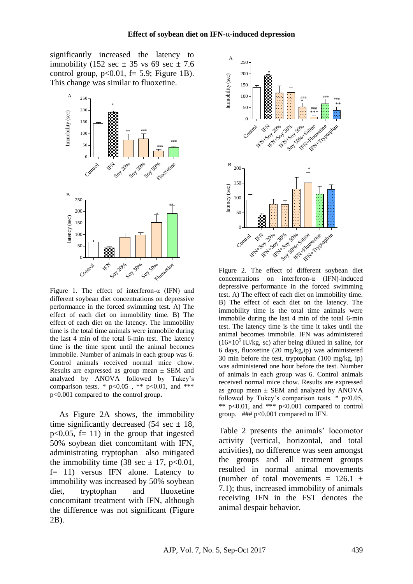significantly increased the latency to immobility (152 sec  $\pm$  35 vs 69 sec  $\pm$  7.6 control group,  $p<0.01$ ,  $f= 5.9$ ; Figure 1B). This change was similar to fluoxetine.



Figure 1. The effect of interferon- $\alpha$  (IFN) and different soybean diet concentrations on depressive performance in the forced swimming test. A) The effect of each diet on immobility time. B) The effect of each diet on the latency. The immobility time is the total time animals were immobile during the last 4 min of the total 6-min test. The latency time is the time spent until the animal becomes immobile. Number of animals in each group was 6. Control animals received normal mice chow. Results are expressed as group mean ± SEM and analyzed by ANOVA followed by Tukey's comparison tests. \*  $p<0.05$ , \*\*  $p<0.01$ , and \*\*\* p<0.001 compared to the control group**.** 

As Figure 2A shows, the immobility time significantly decreased (54 sec  $\pm$  18,  $p<0.05$ ,  $f=11$ ) in the group that ingested 50% soybean diet concomitant with IFN, administrating tryptophan also mitigated the immobility time (38 sec  $\pm$  17, p<0.01, f= 11) versus IFN alone. Latency to immobility was increased by 50% soybean diet, tryptophan and fluoxetine concomitant treatment with IFN, although the difference was not significant (Figure 2B).



Figure 2. The effect of different soybean diet concentrations on interferon-α (IFN)-induced depressive performance in the forced swimming test. A) The effect of each diet on immobility time. B) The effect of each diet on the latency. The immobility time is the total time animals were immobile during the last 4 min of the total 6-min test. The latency time is the time it takes until the animal becomes immobile. IFN was administered  $(16\times10^5 \text{ IU/kg}, \text{ sc})$  after being diluted in saline, for 6 days, fluoxetine (20 mg/kg,ip) was administered 30 min before the test, tryptophan (100 mg/kg, ip) was administered one hour before the test. Number of animals in each group was 6. Control animals received normal mice chow. Results are expressed as group mean  $\pm$  SEM and analyzed by ANOVA followed by Tukey's comparison tests.  $*$  p<0.05, \*\*  $p<0.01$ , and \*\*\*  $p<0.001$  compared to control group. ### p<0.001 compared to IFN.

Table 2 presents the animals' locomotor activity (vertical, horizontal, and total activities), no difference was seen amongst the groups and all treatment groups resulted in normal animal movements (number of total movements =  $126.1 \pm$ 7.1); thus, increased immobility of animals receiving IFN in the FST denotes the animal despair behavior.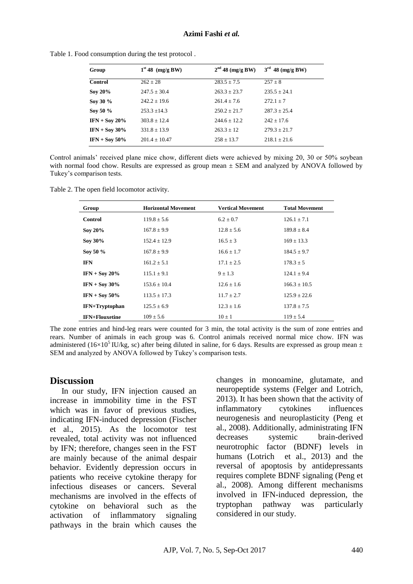| Group            | $1st 48$ (mg/g BW) | $2nd$ 48 (mg/g BW) | $3rd$ 48 (mg/g BW) |
|------------------|--------------------|--------------------|--------------------|
| <b>Control</b>   | $262 \pm 28$       | $283.5 \pm 7.5$    | $257 \pm 8$        |
| Soy 20%          | $247.5 \pm 30.4$   | $263.3 \pm 23.7$   | $235.5 + 24.1$     |
| Soy 30 %         | $242.2 \pm 19.6$   | $261.4 + 7.6$      | $272.1 + 7$        |
| Sov 50 %         | $253.3 \pm 14.3$   | $250.2 + 21.7$     | $287.3 + 25.4$     |
| IFN + Soy $20\%$ | $303.8 + 12.4$     | $244.6 + 12.2$     | $242 + 17.6$       |
| $IFN + Sov 30\%$ | $331.8 \pm 13.9$   | $263.3 \pm 12$     | $279.3 \pm 21.7$   |
| $IFN + Sov 50\%$ | $201.4 \pm 10.47$  | $258 \pm 13.7$     | $218.1 \pm 21.6$   |

Table 1. Food consumption during the test protocol .

Control animals' received plane mice chow, different diets were achieved by mixing 20, 30 or 50% soybean with normal food chow. Results are expressed as group mean  $\pm$  SEM and analyzed by ANOVA followed by Tukey's comparison tests.

Table 2. The open field locomotor activity.

| Group                 | <b>Horizontal Movement</b> | <b>Vertical Movement</b> | <b>Total Movement</b> |
|-----------------------|----------------------------|--------------------------|-----------------------|
| Control               | $119.8 \pm 5.6$            | $6.2 \pm 0.7$            | $126.1 \pm 7.1$       |
| Soy $20\%$            | $167.8 \pm 9.9$            | $12.8 \pm 5.6$           | $189.8 \pm 8.4$       |
| Soy 30%               | $152.4 \pm 12.9$           | $16.5 \pm 3$             | $169 \pm 13.3$        |
| Sov 50 %              | $167.8 \pm 9.9$            | $16.6 \pm 1.7$           | $184.5 \pm 9.7$       |
| <b>IFN</b>            | $161.2 \pm 5.1$            | $17.1 \pm 2.5$           | $178.3 \pm 5$         |
| $IFN + Sov 20%$       | $115.1 \pm 9.1$            | $9 \pm 1.3$              | $124.1 \pm 9.4$       |
| IFN + Soy $30\%$      | $153.6 \pm 10.4$           | $12.6 \pm 1.6$           | $166.3 \pm 10.5$      |
| $IFN + Sov 50\%$      | $113.5 \pm 17.3$           | $11.7 \pm 2.7$           | $125.9 \pm 22.6$      |
| <b>IFN+Tryptophan</b> | $125.5 \pm 6.9$            | $12.3 \pm 1.6$           | $137.8 \pm 7.5$       |
| <b>IFN+Flouxetine</b> | $109 \pm 5.6$              | $10 \pm 1$               | $119 \pm 5.4$         |

The zone entries and hind-leg rears were counted for 3 min, the total activity is the sum of zone entries and rears. Number of animals in each group was 6. Control animals received normal mice chow. IFN was administered (16×10<sup>5</sup> IU/kg, sc) after being diluted in saline, for 6 days. Results are expressed as group mean  $\pm$ SEM and analyzed by ANOVA followed by Tukey's comparison tests.

#### **Discussion**

In our study, IFN injection caused an increase in immobility time in the FST which was in favor of previous studies, indicating IFN-induced depression (Fischer et al., 2015). As the locomotor test revealed, total activity was not influenced by IFN; therefore, changes seen in the FST are mainly because of the animal despair behavior. Evidently depression occurs in patients who receive cytokine therapy for infectious diseases or cancers. Several mechanisms are involved in the effects of cytokine on behavioral such as the activation of inflammatory signaling pathways in the brain which causes the changes in monoamine, glutamate, and neuropeptide systems (Felger and Lotrich, 2013). It has been shown that the activity of inflammatory cytokines influences neurogenesis and neuroplasticity (Peng et al., 2008). Additionally, administrating IFN decreases systemic brain-derived neurotrophic factor (BDNF) levels in humans (Lotrich et al., 2013) and the reversal of apoptosis by antidepressants requires complete BDNF signaling (Peng et al., 2008). Among different mechanisms involved in IFN-induced depression, the tryptophan pathway was particularly considered in our study.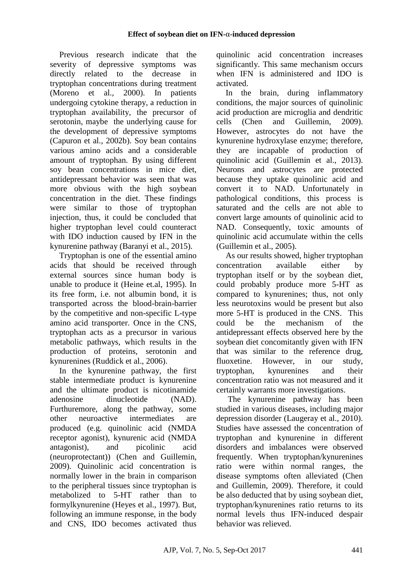Previous research indicate that the severity of depressive symptoms was directly related to the decrease in tryptophan concentrations during treatment (Moreno et al., 2000). In patients undergoing cytokine therapy, a reduction in tryptophan availability, the precursor of serotonin, maybe the underlying cause for the development of depressive symptoms (Capuron et al., 2002b). Soy bean contains various amino acids and a considerable amount of tryptophan. By using different soy bean concentrations in mice diet, antidepressant behavior was seen that was more obvious with the high soybean concentration in the diet. These findings were similar to those of tryptophan injection, thus, it could be concluded that higher tryptophan level could counteract with IDO induction caused by IFN in the kynurenine pathway (Baranyi et al., 2015).

Tryptophan is one of the essential amino acids that should be received through external sources since human body is unable to produce it (Heine et.al, 1995). In its free form, i.e. not albumin bond, it is transported across the blood-brain-barrier by the competitive and non-specific L-type amino acid transporter. Once in the CNS, tryptophan acts as a precursor in various metabolic pathways, which results in the production of proteins, serotonin and kynurenines (Ruddick et al., 2006).

In the kynurenine pathway, the first stable intermediate product is kynurenine and the ultimate product is nicotinamide adenosine dinucleotide (NAD). Furthuremore, along the pathway, some other neuroactive intermediates are produced (e.g. quinolinic acid (NMDA receptor agonist), kynurenic acid (NMDA antagonist), and picolinic acid (neuroprotectant)) (Chen and Guillemin, 2009). Quinolinic acid concentration is normally lower in the brain in comparison to the peripheral tissues since tryptophan is metabolized to 5-HT rather than to formylkynurenine (Heyes et al., 1997). But, following an immune response, in the body and CNS, IDO becomes activated thus quinolinic acid concentration increases significantly. This same mechanism occurs when IFN is administered and IDO is activated.

In the brain, during inflammatory conditions, the major sources of quinolinic acid production are microglia and dendritic cells (Chen and Guillemin, 2009). However, astrocytes do not have the kynurenine hydroxylase enzyme; therefore, they are incapable of production of quinolinic acid (Guillemin et al., 2013). Neurons and astrocytes are protected because they uptake quinolinic acid and convert it to NAD. Unfortunately in pathological conditions, this process is saturated and the cells are not able to convert large amounts of quinolinic acid to NAD. Consequently, toxic amounts of quinolinic acid accumulate within the cells (Guillemin et al., 2005).

As our results showed, higher tryptophan concentration available either by tryptophan itself or by the soybean diet, could probably produce more 5-HT as compared to kynurenines; thus, not only less neurotoxins would be present but also more 5-HT is produced in the CNS. This could be the mechanism of the antidepressant effects observed here by the soybean diet concomitantly given with IFN that was similar to the reference drug, fluoxetine. However, in our study, tryptophan, kynurenines and their concentration ratio was not measured and it certainly warrants more investigations.

The kynurenine pathway has been studied in various diseases, including major depression disorder (Laugeray et al., 2010). Studies have assessed the concentration of tryptophan and kynurenine in different disorders and imbalances were observed frequently. When tryptophan/kynurenines ratio were within normal ranges, the disease symptoms often alleviated (Chen and Guillemin, 2009). Therefore, it could be also deducted that by using soybean diet, tryptophan/kynurenines ratio returns to its normal levels thus IFN-induced despair behavior was relieved.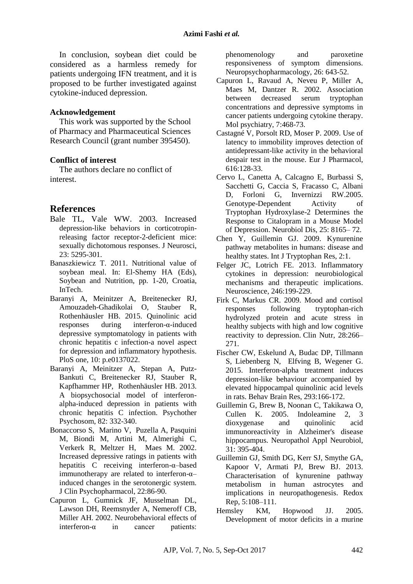In conclusion, soybean diet could be considered as a harmless remedy for patients undergoing IFN treatment, and it is proposed to be further investigated against cytokine-induced depression.

### **Acknowledgement**

This work was supported by the School of Pharmacy and Pharmaceutical Sciences Research Council (grant number 395450).

### **Conflict of interest**

The authors declare no conflict of interest.

# **References**

- Bale TL, Vale WW. 2003. Increased depression-like behaviors in corticotropinreleasing factor receptor-2-deficient mice: sexually dichotomous responses. J Neurosci, 23: 5295-301.
- Banaszkiewicz T. 2011. Nutritional value of soybean meal. In: El-Shemy HA (Eds), Soybean and Nutrition, pp. 1-20, Croatia, InTech.
- Baranyi A, Meinitzer A, Breitenecker RJ, Amouzadeh-Ghadikolai O, Stauber R, Rothenhäusler HB. 2015. Quinolinic acid responses during interferon-α-induced depressive symptomatology in patients with chronic hepatitis c infection-a novel aspect for depression and inflammatory hypothesis. PloS one, 10: p.e0137022.
- Baranyi A, Meinitzer A, Stepan A, Putz-Bankuti C, Breitenecker RJ, Stauber R, Kapfhammer HP, Rothenhäusler HB. 2013. A biopsychosocial model of interferonalpha-induced depression in patients with chronic hepatitis C infection. Psychother Psychosom, 82: 332-340.
- Bonaccorso S, Marino V, Puzella A, Pasquini M, Biondi M, Artini M, Almerighi C, Verkerk R, Meltzer H, Maes M. 2002. Increased depressive ratings in patients with hepatitis C receiving interferon-α–based immunotherapy are related to interferon-α– induced changes in the serotonergic system. J Clin Psychopharmacol, 22:86-90.
- Capuron L, Gumnick JF, Musselman DL, Lawson DH, Reemsnyder A, Nemeroff CB, Miller AH. 2002. Neurobehavioral effects of interferon-α in cancer patients:

phenomenology and paroxetine responsiveness of symptom dimensions. Neuropsychopharmacology, 26: 643-52.

- Capuron L, Ravaud A, Neveu P, Miller A, Maes M, Dantzer R. 2002. Association between decreased serum tryptophan concentrations and depressive symptoms in cancer patients undergoing cytokine therapy. Mol psychiatry, 7:468-73.
- Castagné V, Porsolt RD, Moser P. 2009. Use of latency to immobility improves detection of antidepressant-like activity in the behavioral despair test in the mouse. Eur J Pharmacol, 616:128-33.
- Cervo L, Canetta A, Calcagno E, Burbassi S, Sacchetti G, Caccia S, Fracasso C, Albani D, Forloni G, Invernizzi RW.2005. Genotype-Dependent Activity of Tryptophan Hydroxylase-2 Determines the Response to Citalopram in a Mouse Model of Depression. Neurobiol Dis, 25: 8165– 72.
- Chen Y, Guillemin GJ. 2009. Kynurenine pathway metabolites in humans: disease and healthy states. Int J Tryptophan Res, 2:1.
- Felger JC, Lotrich FE. 2013. Inflammatory cytokines in depression: neurobiological mechanisms and therapeutic implications. Neuroscience, 246:199-229.
- Firk C, Markus CR. 2009. Mood and cortisol responses following tryptophan-rich hydrolyzed protein and acute stress in healthy subjects with high and low cognitive reactivity to depression. Clin Nutr, 28:266– 271.
- Fischer CW, Eskelund A, Budac DP, Tillmann S, Liebenberg N, Elfving B, Wegener G. 2015. Interferon-alpha treatment induces depression-like behaviour accompanied by elevated hippocampal quinolinic acid levels in rats. Behav Brain Res, 293:166-172.
- Guillemin G, Brew B, Noonan C, Takikawa O, Cullen K. 2005. Indoleamine 2, 3 dioxygenase and quinolinic acid immunoreactivity in Alzheimer's disease hippocampus. Neuropathol Appl Neurobiol, 31: 395-404.
- Guillemin GJ, Smith DG, Kerr SJ, Smythe GA, Kapoor V, Armati PJ, Brew BJ. 2013. Characterisation of kynurenine pathway metabolism in human astrocytes and implications in neuropathogenesis. Redox Rep, 5:108–111.
- Hemsley KM, Hopwood JJ. 2005. Development of motor deficits in a murine